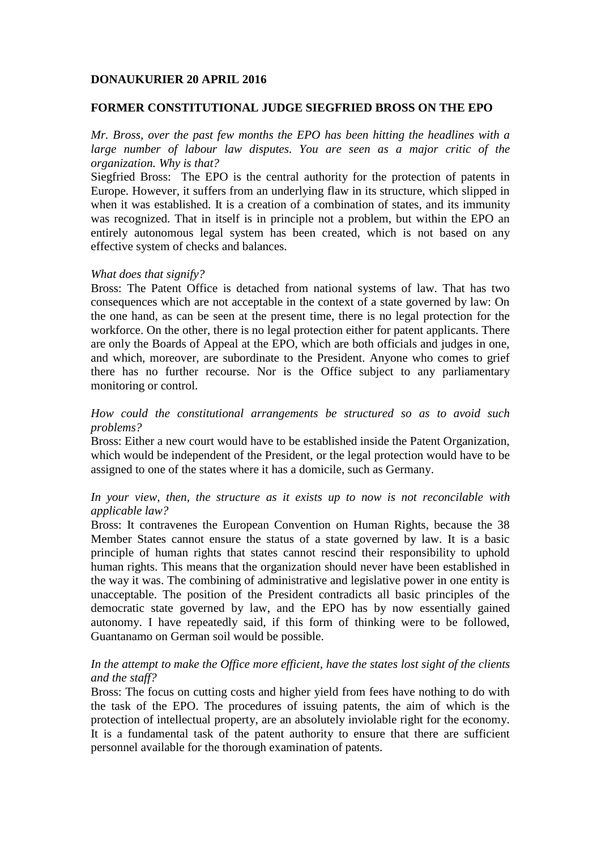## **DONAUKURIER 20 APRIL 2016**

#### **FORMER CONSTITUTIONAL JUDGE SIEGFRIED BROSS ON THE EPO**

*Mr. Bross, over the past few months the EPO has been hitting the headlines with a large number of labour law disputes. You are seen as a major critic of the organization. Why is that?*

Siegfried Bross: The EPO is the central authority for the protection of patents in Europe. However, it suffers from an underlying flaw in its structure, which slipped in when it was established. It is a creation of a combination of states, and its immunity was recognized. That in itself is in principle not a problem, but within the EPO an entirely autonomous legal system has been created, which is not based on any effective system of checks and balances.

#### *What does that signify?*

Bross: The Patent Office is detached from national systems of law. That has two consequences which are not acceptable in the context of a state governed by law: On the one hand, as can be seen at the present time, there is no legal protection for the workforce. On the other, there is no legal protection either for patent applicants. There are only the Boards of Appeal at the EPO, which are both officials and judges in one, and which, moreover, are subordinate to the President. Anyone who comes to grief there has no further recourse. Nor is the Office subject to any parliamentary monitoring or control.

## *How could the constitutional arrangements be structured so as to avoid such problems?*

Bross: Either a new court would have to be established inside the Patent Organization, which would be independent of the President, or the legal protection would have to be assigned to one of the states where it has a domicile, such as Germany.

### *In your view, then, the structure as it exists up to now is not reconcilable with applicable law?*

Bross: It contravenes the European Convention on Human Rights, because the 38 Member States cannot ensure the status of a state governed by law. It is a basic principle of human rights that states cannot rescind their responsibility to uphold human rights. This means that the organization should never have been established in the way it was. The combining of administrative and legislative power in one entity is unacceptable. The position of the President contradicts all basic principles of the democratic state governed by law, and the EPO has by now essentially gained autonomy. I have repeatedly said, if this form of thinking were to be followed, Guantanamo on German soil would be possible.

# *In the attempt to make the Office more efficient, have the states lost sight of the clients and the staff?*

Bross: The focus on cutting costs and higher yield from fees have nothing to do with the task of the EPO. The procedures of issuing patents, the aim of which is the protection of intellectual property, are an absolutely inviolable right for the economy. It is a fundamental task of the patent authority to ensure that there are sufficient personnel available for the thorough examination of patents.